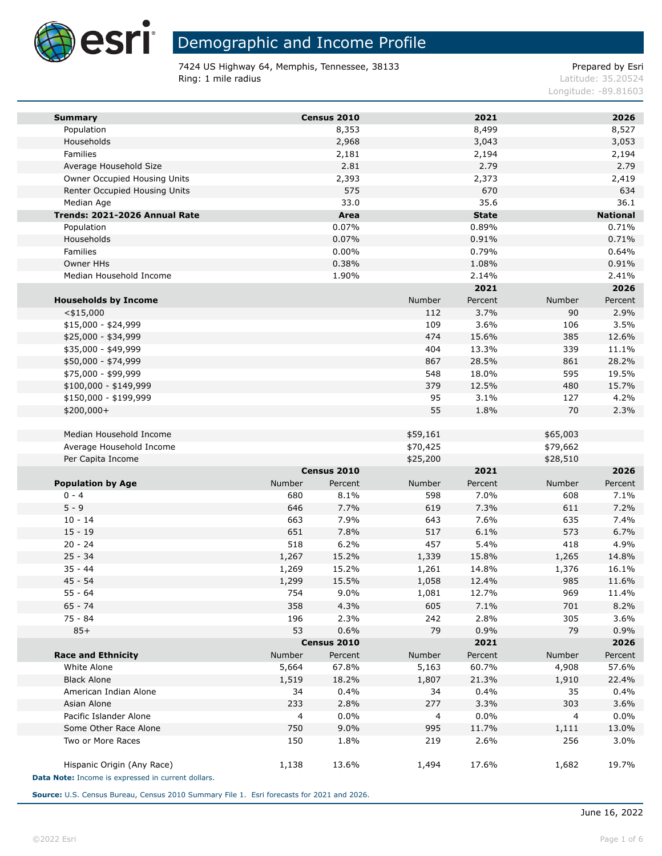

**Ta** 

# Demographic and Income Profile

7424 US Highway 64, Memphis, Tennessee, 38133 entitled and the Case of Prepared by Esri **Ring: 1 mile radius Contract Contract Contract Contract Contract Contract Contract Contract Contract Contract Contract Contract Contract Contract Contract Contract Contract Contract Contract Contract Contract Contract C** 

Longitude: -89.81603

| <b>Summary</b>                                     |        | Census 2010    |            | 2021                  |            | 2026            |
|----------------------------------------------------|--------|----------------|------------|-----------------------|------------|-----------------|
| Population                                         |        | 8,353          |            | 8,499                 |            | 8,527           |
| Households                                         |        | 2,968          |            | 3,043                 |            | 3,053           |
| Families                                           |        |                |            |                       |            | 2,194           |
| Average Household Size                             |        | 2,181<br>2.81  |            | 2,194<br>2.79         |            | 2.79            |
| Owner Occupied Housing Units                       |        | 2,393          |            | 2,373                 |            | 2,419           |
|                                                    |        | 575            |            |                       |            | 634             |
| Renter Occupied Housing Units                      |        | 33.0           |            | 670<br>35.6           |            |                 |
| Median Age<br>Trends: 2021-2026 Annual Rate        |        |                |            |                       |            | 36.1            |
|                                                    |        | Area           |            | <b>State</b><br>0.89% |            | <b>National</b> |
| Population<br>Households                           |        | 0.07%<br>0.07% |            | 0.91%                 |            | 0.71%<br>0.71%  |
| Families                                           |        | $0.00\%$       |            | 0.79%                 |            | 0.64%           |
| Owner HHs                                          |        | 0.38%          |            | 1.08%                 |            | 0.91%           |
| Median Household Income                            |        | 1.90%          |            | 2.14%                 |            | 2.41%           |
|                                                    |        |                |            | 2021                  |            | 2026            |
|                                                    |        |                | Number     | Percent               | Number     | Percent         |
| <b>Households by Income</b>                        |        |                |            |                       |            |                 |
| $<$ \$15,000<br>$$15,000 - $24,999$                |        |                | 112        | 3.7%<br>3.6%          | 90         | 2.9%            |
|                                                    |        |                | 109<br>474 |                       | 106<br>385 | 3.5%            |
| \$25,000 - \$34,999                                |        |                | 404        | 15.6%<br>13.3%        | 339        | 12.6%<br>11.1%  |
| \$35,000 - \$49,999                                |        |                | 867        |                       | 861        |                 |
| \$50,000 - \$74,999<br>\$75,000 - \$99,999         |        |                | 548        | 28.5%<br>18.0%        | 595        | 28.2%<br>19.5%  |
|                                                    |        |                |            |                       | 480        | 15.7%           |
| \$100,000 - \$149,999                              |        |                | 379        | 12.5%                 |            |                 |
| \$150,000 - \$199,999                              |        |                | 95<br>55   | 3.1%                  | 127        | 4.2%            |
| $$200,000+$                                        |        |                |            | 1.8%                  | 70         | 2.3%            |
| Median Household Income                            |        |                | \$59,161   |                       | \$65,003   |                 |
| Average Household Income                           |        |                | \$70,425   |                       | \$79,662   |                 |
| Per Capita Income                                  |        |                | \$25,200   |                       | \$28,510   |                 |
|                                                    |        | Census 2010    |            | 2021                  |            | 2026            |
| <b>Population by Age</b>                           | Number | Percent        | Number     | Percent               | Number     | Percent         |
| $0 - 4$                                            | 680    | 8.1%           | 598        | 7.0%                  | 608        | 7.1%            |
| $5 - 9$                                            | 646    | 7.7%           | 619        | 7.3%                  | 611        | 7.2%            |
| $10 - 14$                                          | 663    | 7.9%           | 643        | 7.6%                  | 635        | 7.4%            |
| $15 - 19$                                          | 651    | 7.8%           | 517        | 6.1%                  | 573        | 6.7%            |
| $20 - 24$                                          | 518    | 6.2%           | 457        | 5.4%                  | 418        | 4.9%            |
| $25 - 34$                                          | 1,267  | 15.2%          | 1,339      | 15.8%                 | 1,265      | 14.8%           |
| $35 - 44$                                          | 1,269  | 15.2%          | 1,261      | 14.8%                 | 1,376      | 16.1%           |
| $45 - 54$                                          | 1,299  | 15.5%          | 1,058      | 12.4%                 | 985        | 11.6%           |
| $55 - 64$                                          | 754    | 9.0%           | 1,081      | 12.7%                 | 969        | 11.4%           |
| $65 - 74$                                          | 358    | 4.3%           | 605        | 7.1%                  | 701        | 8.2%            |
| 75 - 84                                            | 196    | 2.3%           | 242        | 2.8%                  | 305        | 3.6%            |
| $85+$                                              | 53     | 0.6%           | 79         | 0.9%                  | 79         | 0.9%            |
|                                                    |        | Census 2010    |            | 2021                  |            | 2026            |
| <b>Race and Ethnicity</b>                          | Number | Percent        | Number     | Percent               | Number     | Percent         |
| White Alone                                        | 5,664  | 67.8%          | 5,163      | 60.7%                 | 4,908      | 57.6%           |
| <b>Black Alone</b>                                 | 1,519  | 18.2%          | 1,807      | 21.3%                 | 1,910      | 22.4%           |
| American Indian Alone                              | 34     | 0.4%           | 34         | 0.4%                  | 35         | 0.4%            |
| Asian Alone                                        | 233    | 2.8%           | 277        | 3.3%                  | 303        | 3.6%            |
| Pacific Islander Alone                             | 4      | 0.0%           | 4          | 0.0%                  | 4          | 0.0%            |
| Some Other Race Alone                              | 750    | 9.0%           | 995        | 11.7%                 | 1,111      | 13.0%           |
| Two or More Races                                  | 150    | 1.8%           | 219        | 2.6%                  | 256        | 3.0%            |
| Hispanic Origin (Any Race)                         | 1,138  | 13.6%          | 1,494      | 17.6%                 | 1,682      | 19.7%           |
| Data Note: Income is expressed in current dollars. |        |                |            |                       |            |                 |

**Source:** U.S. Census Bureau, Census 2010 Summary File 1. Esri forecasts for 2021 and 2026.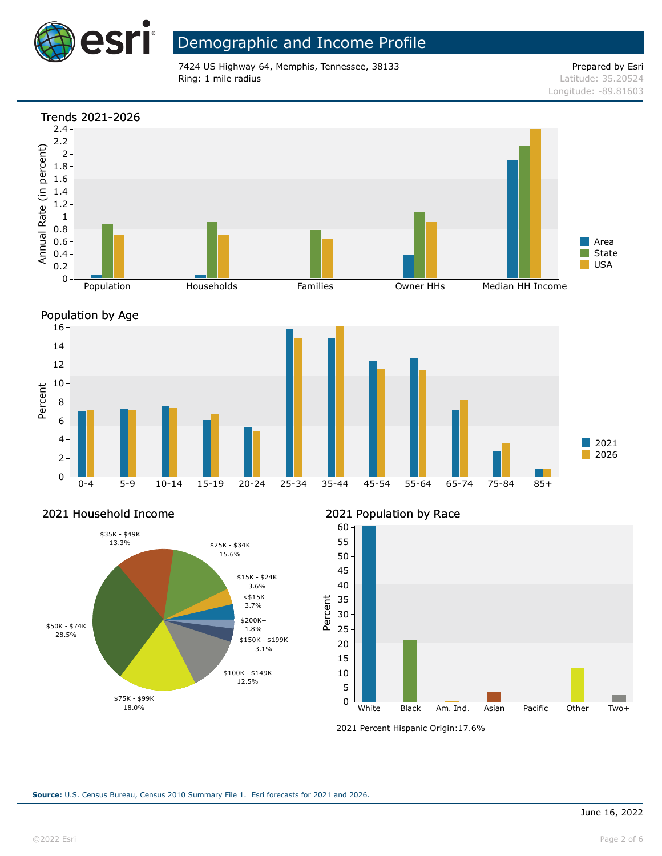

## Demographic and Income Profile

7424 US Highway 64, Memphis, Tennessee, 38133 Prepared by Esri Ring: 1 mile radius and the results of the contract of the contract of the contract of the contract of the contract of the contract of the contract of the contract of the contract of the contract of the contract of the con

Longitude: -89.81603





Percent

### 2021 Household Income



### 2021 Population by Race



<sup>2021</sup> Percent Hispanic Origin: 17.6%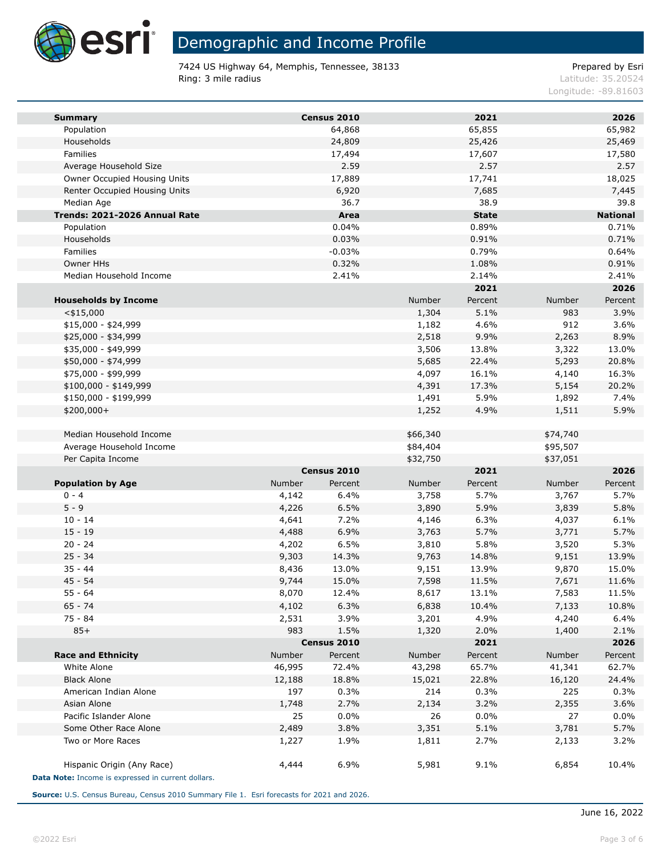

**Ta** 

### Demographic and Income Profile

7424 US Highway 64, Memphis, Tennessee, 38133 entitled and the Case of Prepared by Esri **Ring: 3 mile radius Contract Contract Contract Contract Contract Contract Contract Contract Contract Contract Contract Contract Contract Contract Contract Contract Contract Contract Contract Contract Contract Contract C** 

Longitude: -89.81603

| <b>Summary</b>                                     |        | Census 2010 |          | 2021         |          | 2026            |
|----------------------------------------------------|--------|-------------|----------|--------------|----------|-----------------|
| Population                                         |        | 64,868      |          | 65,855       |          | 65,982          |
| Households                                         |        | 24,809      |          | 25,426       |          | 25,469          |
| Families                                           |        | 17,494      |          | 17,607       |          | 17,580          |
| Average Household Size                             |        | 2.59        |          | 2.57         |          | 2.57            |
| Owner Occupied Housing Units                       |        | 17,889      |          | 17,741       |          | 18,025          |
| Renter Occupied Housing Units                      |        | 6,920       |          | 7,685        |          | 7,445           |
| Median Age                                         |        | 36.7        |          | 38.9         |          | 39.8            |
| Trends: 2021-2026 Annual Rate                      |        | Area        |          | <b>State</b> |          | <b>National</b> |
| Population                                         |        | 0.04%       |          | 0.89%        |          | 0.71%           |
| Households                                         |        | 0.03%       |          | 0.91%        |          | 0.71%           |
| Families                                           |        | $-0.03%$    |          | 0.79%        |          | 0.64%           |
| Owner HHs                                          |        | 0.32%       |          | 1.08%        |          | 0.91%           |
| Median Household Income                            |        | 2.41%       |          | 2.14%        |          | 2.41%           |
|                                                    |        |             |          | 2021         |          | 2026            |
| <b>Households by Income</b>                        |        |             | Number   | Percent      | Number   | Percent         |
| $<$ \$15,000                                       |        |             | 1,304    | 5.1%         | 983      | 3.9%            |
| \$15,000 - \$24,999                                |        |             | 1,182    | 4.6%         | 912      | 3.6%            |
| \$25,000 - \$34,999                                |        |             | 2,518    | 9.9%         | 2,263    | 8.9%            |
| \$35,000 - \$49,999                                |        |             | 3,506    | 13.8%        | 3,322    | 13.0%           |
| \$50,000 - \$74,999                                |        |             | 5,685    | 22.4%        | 5,293    | 20.8%           |
| \$75,000 - \$99,999                                |        |             | 4,097    | 16.1%        | 4,140    | 16.3%           |
| \$100,000 - \$149,999                              |        |             | 4,391    | 17.3%        | 5,154    | 20.2%           |
| \$150,000 - \$199,999                              |        |             | 1,491    | 5.9%         | 1,892    | 7.4%            |
| $$200,000+$                                        |        |             | 1,252    | 4.9%         | 1,511    | 5.9%            |
|                                                    |        |             |          |              |          |                 |
| Median Household Income                            |        |             | \$66,340 |              | \$74,740 |                 |
| Average Household Income                           |        |             | \$84,404 |              | \$95,507 |                 |
| Per Capita Income                                  |        |             | \$32,750 |              | \$37,051 |                 |
|                                                    |        | Census 2010 |          | 2021         |          | 2026            |
| <b>Population by Age</b>                           | Number | Percent     | Number   | Percent      | Number   | Percent         |
| $0 - 4$                                            | 4,142  | 6.4%        | 3,758    | 5.7%         | 3,767    | 5.7%            |
| $5 - 9$                                            | 4,226  | 6.5%        | 3,890    | 5.9%         | 3,839    | 5.8%            |
| $10 - 14$                                          | 4,641  | 7.2%        | 4,146    | 6.3%         | 4,037    | 6.1%            |
| $15 - 19$                                          | 4,488  | 6.9%        | 3,763    | 5.7%         | 3,771    | 5.7%            |
| $20 - 24$                                          | 4,202  | 6.5%        | 3,810    | 5.8%         | 3,520    | 5.3%            |
| $25 - 34$                                          | 9,303  | 14.3%       | 9,763    | 14.8%        | 9,151    | 13.9%           |
| $35 - 44$                                          | 8,436  | 13.0%       | 9,151    | 13.9%        | 9,870    | 15.0%           |
| $45 - 54$                                          | 9,744  | 15.0%       | 7,598    | 11.5%        | 7,671    | 11.6%           |
| $55 - 64$                                          | 8,070  | 12.4%       | 8,617    | 13.1%        | 7,583    | 11.5%           |
| 65 - 74                                            | 4,102  | 6.3%        | 6,838    | 10.4%        | 7,133    | 10.8%           |
| $75 - 84$                                          | 2,531  | 3.9%        | 3,201    | 4.9%         | 4,240    | 6.4%            |
| $85+$                                              | 983    | 1.5%        | 1,320    | 2.0%         | 1,400    | 2.1%            |
|                                                    |        | Census 2010 |          | 2021         |          | 2026            |
| <b>Race and Ethnicity</b>                          | Number | Percent     | Number   | Percent      | Number   | Percent         |
| White Alone                                        | 46,995 | 72.4%       | 43,298   | 65.7%        | 41,341   | 62.7%           |
| <b>Black Alone</b>                                 | 12,188 | 18.8%       | 15,021   | 22.8%        | 16,120   | 24.4%           |
| American Indian Alone                              | 197    | 0.3%        | 214      | 0.3%         | 225      | 0.3%            |
| Asian Alone                                        | 1,748  | 2.7%        | 2,134    | 3.2%         | 2,355    | 3.6%            |
| Pacific Islander Alone                             | 25     | 0.0%        | 26       | 0.0%         | 27       | 0.0%            |
| Some Other Race Alone                              | 2,489  | 3.8%        | 3,351    | 5.1%         | 3,781    | 5.7%            |
| Two or More Races                                  | 1,227  | 1.9%        | 1,811    | 2.7%         | 2,133    | 3.2%            |
|                                                    |        |             |          |              |          |                 |
| Hispanic Origin (Any Race)                         | 4,444  | 6.9%        | 5,981    | 9.1%         | 6,854    | 10.4%           |
| Data Note: Income is expressed in current dollars. |        |             |          |              |          |                 |
|                                                    |        |             |          |              |          |                 |

**Source:** U.S. Census Bureau, Census 2010 Summary File 1. Esri forecasts for 2021 and 2026.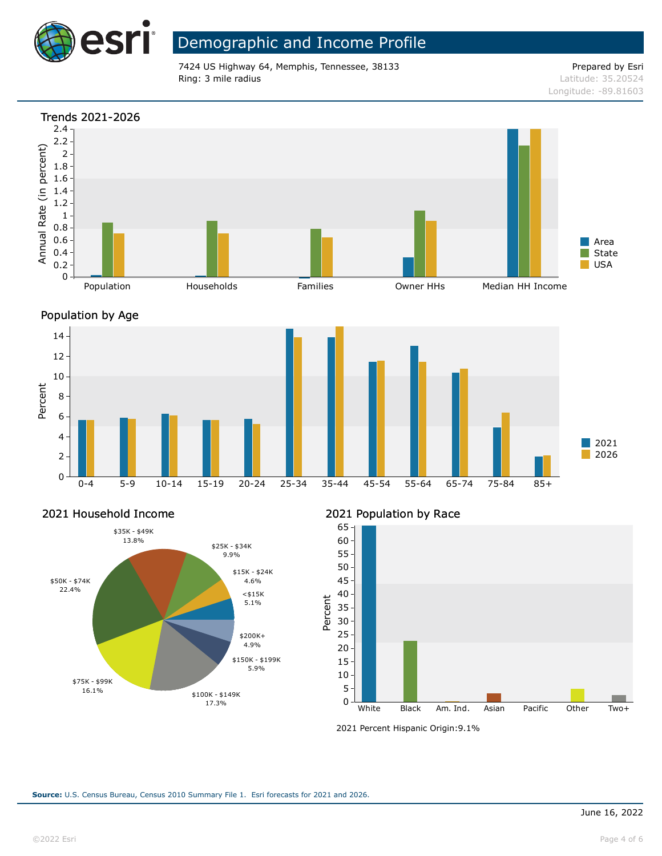

## Demographic and Income Profile

7424 US Highway 64, Memphis, Tennessee, 38133 Prepared by Esri Ring: 3 mile radius and the results of the contract of the contract of the contract of the contract of the contract of the contract of the contract of the contract of the contract of the contract of the contract of the con

Longitude: -89.81603







### 2021 Household Income



2021 Population by Race



<sup>2021</sup> Percent Hispanic Origin: 9.1%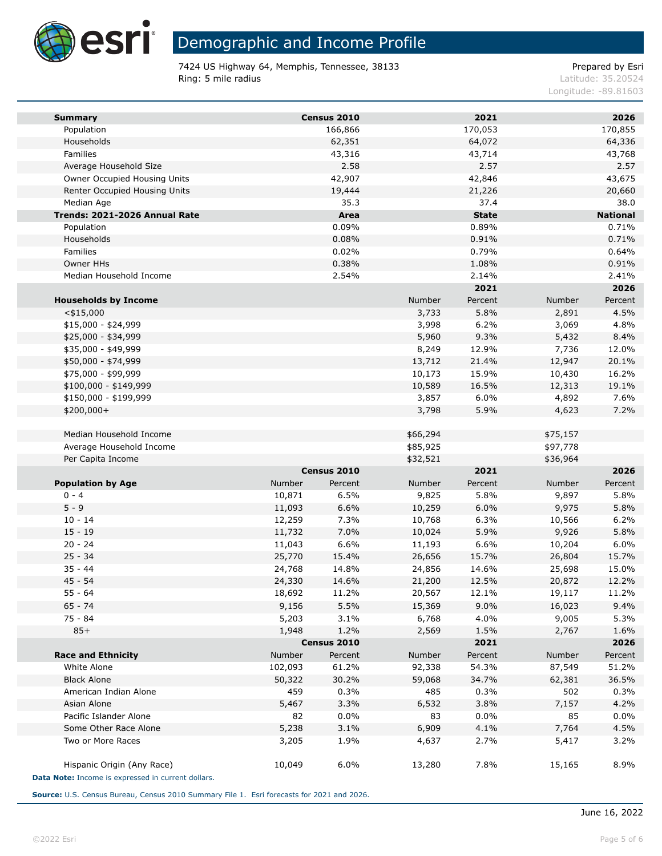

**Ta** 

### Demographic and Income Profile

7424 US Highway 64, Memphis, Tennessee, 38133 entitled and the Case of Prepared by Esri **Ring: 5 mile radius Contract Contract Contract Contract Contract Contract Contract Contract Contract Contract Contract Contract Contract Contract Contract Contract Contract Contract Contract Contract Contract Contract C** 

Longitude: -89.81603

| <b>Summary</b>                                     |         | Census 2010 |          | 2021         |               | 2026            |
|----------------------------------------------------|---------|-------------|----------|--------------|---------------|-----------------|
| Population                                         |         | 166,866     |          | 170,053      |               | 170,855         |
| Households                                         |         | 62,351      |          | 64,072       |               | 64,336          |
| Families                                           |         | 43,316      |          | 43,714       |               | 43,768          |
| Average Household Size                             |         | 2.58        |          | 2.57         |               | 2.57            |
| Owner Occupied Housing Units                       |         | 42,907      |          | 42,846       |               | 43,675          |
| Renter Occupied Housing Units                      |         | 19,444      |          | 21,226       |               | 20,660          |
| Median Age                                         |         | 35.3        |          | 37.4         |               | 38.0            |
| Trends: 2021-2026 Annual Rate                      |         | Area        |          | <b>State</b> |               | <b>National</b> |
| Population                                         |         | 0.09%       |          | 0.89%        |               | 0.71%           |
| Households                                         |         | 0.08%       |          | 0.91%        |               | 0.71%           |
| Families                                           |         | 0.02%       |          | 0.79%        |               | 0.64%           |
| Owner HHs                                          |         | 0.38%       |          | 1.08%        |               | 0.91%           |
| Median Household Income                            |         | 2.54%       |          | 2.14%        |               | 2.41%           |
|                                                    |         |             |          | 2021         |               | 2026            |
| <b>Households by Income</b>                        |         |             | Number   | Percent      | <b>Number</b> | Percent         |
| $<$ \$15,000                                       |         |             | 3,733    | 5.8%         | 2,891         | 4.5%            |
| $$15,000 - $24,999$                                |         |             | 3,998    | 6.2%         | 3,069         | 4.8%            |
| \$25,000 - \$34,999                                |         |             | 5,960    | 9.3%         | 5,432         | 8.4%            |
| \$35,000 - \$49,999                                |         |             | 8,249    | 12.9%        | 7,736         | 12.0%           |
| \$50,000 - \$74,999                                |         |             | 13,712   | 21.4%        | 12,947        | 20.1%           |
| \$75,000 - \$99,999                                |         |             | 10,173   | 15.9%        | 10,430        | 16.2%           |
| \$100,000 - \$149,999                              |         |             | 10,589   | 16.5%        | 12,313        | 19.1%           |
| \$150,000 - \$199,999                              |         |             | 3,857    | 6.0%         | 4,892         | 7.6%            |
| \$200,000+                                         |         |             | 3,798    | 5.9%         | 4,623         | 7.2%            |
|                                                    |         |             |          |              |               |                 |
| Median Household Income                            |         |             | \$66,294 |              | \$75,157      |                 |
| Average Household Income                           |         |             | \$85,925 |              | \$97,778      |                 |
| Per Capita Income                                  |         |             | \$32,521 |              | \$36,964      |                 |
|                                                    |         | Census 2010 |          | 2021         |               | 2026            |
| <b>Population by Age</b>                           | Number  | Percent     | Number   | Percent      | Number        | Percent         |
| $0 - 4$                                            | 10,871  | 6.5%        | 9,825    | 5.8%         | 9,897         | 5.8%            |
| $5 - 9$                                            | 11,093  | 6.6%        | 10,259   | 6.0%         | 9,975         | 5.8%            |
| $10 - 14$                                          | 12,259  | 7.3%        | 10,768   | 6.3%         | 10,566        | 6.2%            |
| $15 - 19$                                          | 11,732  | 7.0%        | 10,024   | 5.9%         | 9,926         | 5.8%            |
| $20 - 24$                                          | 11,043  | 6.6%        | 11,193   | 6.6%         | 10,204        | 6.0%            |
| $25 - 34$                                          | 25,770  | 15.4%       | 26,656   | 15.7%        | 26,804        | 15.7%           |
| $35 - 44$                                          | 24,768  | 14.8%       | 24,856   | 14.6%        | 25,698        | 15.0%           |
| $45 - 54$                                          | 24,330  | 14.6%       | 21,200   | 12.5%        | 20,872        | 12.2%           |
| $55 - 64$                                          | 18,692  | 11.2%       | 20,567   | 12.1%        | 19,117        | 11.2%           |
| $65 - 74$                                          | 9,156   | 5.5%        | 15,369   | 9.0%         | 16,023        | 9.4%            |
| 75 - 84                                            | 5,203   | 3.1%        | 6,768    | 4.0%         | 9,005         | 5.3%            |
| $85+$                                              | 1,948   | 1.2%        | 2,569    | 1.5%         | 2,767         | 1.6%            |
|                                                    |         | Census 2010 |          | 2021         |               | 2026            |
| <b>Race and Ethnicity</b>                          | Number  | Percent     | Number   | Percent      | Number        | Percent         |
| White Alone                                        | 102,093 | 61.2%       | 92,338   | 54.3%        | 87,549        | 51.2%           |
| <b>Black Alone</b>                                 | 50,322  | 30.2%       | 59,068   | 34.7%        | 62,381        | 36.5%           |
| American Indian Alone                              | 459     | 0.3%        | 485      | 0.3%         | 502           | 0.3%            |
| Asian Alone                                        | 5,467   | 3.3%        | 6,532    | 3.8%         | 7,157         | 4.2%            |
| Pacific Islander Alone                             | 82      | 0.0%        | 83       | 0.0%         | 85            | 0.0%            |
| Some Other Race Alone                              | 5,238   | 3.1%        | 6,909    | 4.1%         | 7,764         | 4.5%            |
| Two or More Races                                  | 3,205   | 1.9%        | 4,637    | 2.7%         | 5,417         | 3.2%            |
|                                                    |         |             |          |              |               |                 |
| Hispanic Origin (Any Race)                         | 10,049  | 6.0%        | 13,280   | 7.8%         | 15,165        | 8.9%            |
| Data Note: Income is expressed in current dollars. |         |             |          |              |               |                 |

**Source:** U.S. Census Bureau, Census 2010 Summary File 1. Esri forecasts for 2021 and 2026.